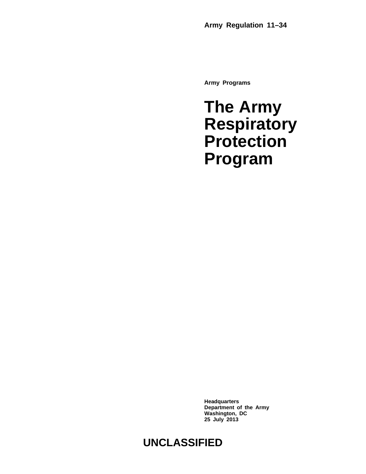**Army Programs**

## **The Army Respiratory Protection Program**

**Headquarters Department of the Army Washington, DC 25 July 2013**

### **UNCLASSIFIED**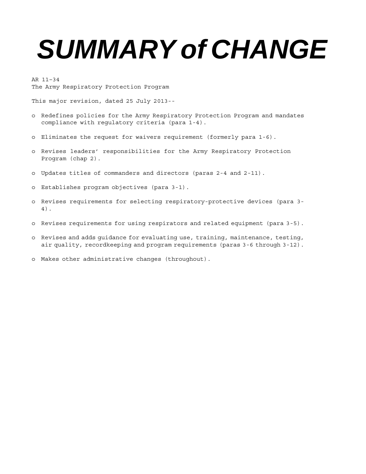# *SUMMARY of CHANGE*

AR 11–34 The Army Respiratory Protection Program

This major revision, dated 25 July 2013--

- o Redefines policies for the Army Respiratory Protection Program and mandates compliance with regulatory criteria (para 1-4).
- o Eliminates the request for waivers requirement (formerly para 1-6).
- o Revises leaders' responsibilities for the Army Respiratory Protection Program (chap 2).
- o Updates titles of commanders and directors (paras 2-4 and 2-11).
- o Establishes program objectives (para 3-1).
- o Revises requirements for selecting respiratory-protective devices (para 3- 4).
- o Revises requirements for using respirators and related equipment (para 3-5).
- o Revises and adds guidance for evaluating use, training, maintenance, testing, air quality, recordkeeping and program requirements (paras 3-6 through 3-12).
- o Makes other administrative changes (throughout).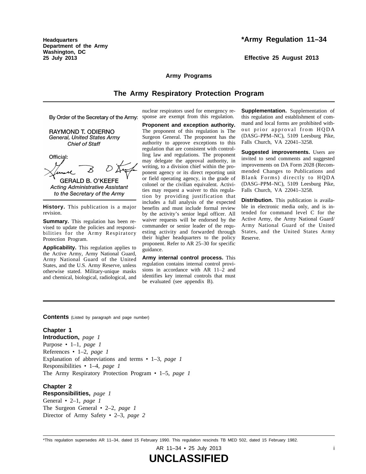**Headquarters Department of the Army Washington, DC 25 July 2013**

#### **\*Army Regulation 11–34**

**Effective 25 August 2013**

#### **Army Programs**

#### **The Army Respiratory Protection Program**

By Order of the Secretary of the Army:

RAYMOND T. ODIERNO General, United States Army **Chief of Staff** 

Official:

**GERALD B. O'KEEFE Acting Administrative Assistant** to the Secretary of the Army

**History.** This publication is a major revision.

**Summary.** This regulation has been revised to update the policies and responsibilities for the Army Respiratory Protection Program.

**Applicability.** This regulation applies to the Active Army, Army National Guard, Army National Guard of the United States, and the U.S. Army Reserve, unless otherwise stated. Military-unique masks and chemical, biological, radiological, and

nuclear respirators used for emergency response are exempt from this regulation.

**Proponent and exception authority.** The proponent of this regulation is The Surgeon General. The proponent has the authority to approve exceptions to this regulation that are consistent with controlling law and regulations. The proponent may delegate the approval authority, in writing, to a division chief within the proponent agency or its direct reporting unit or field operating agency, in the grade of colonel or the civilian equivalent. Activities may request a waiver to this regulation by providing justification that includes a full analysis of the expected benefits and must include formal review by the activity's senior legal officer. All waiver requests will be endorsed by the commander or senior leader of the requesting activity and forwarded through their higher headquarters to the policy proponent. Refer to AR 25–30 for specific guidance.

**Army internal control process.** This regulation contains internal control provisions in accordance with AR 11–2 and identifies key internal controls that must be evaluated (see appendix B).

**Supplementation.** Supplementation of this regulation and establishment of command and local forms are prohibited without prior approval from HQDA (DASG–PPM–NC), 5109 Leesburg Pike, Falls Church, VA 22041–3258.

**Suggested improvements.** Users are invited to send comments and suggested improvements on DA Form 2028 (Recommended Changes to Publications and Blank Forms) directly to HQDA (DASG–PPM–NC), 5109 Leesburg Pike, Falls Church, VA 22041–3258.

**Distribution.** This publication is available in electronic media only, and is intended for command level C for the Active Army, the Army National Guard/ Army National Guard of the United States, and the United States Army Reserve.

**Contents** (Listed by paragraph and page number)

#### **Chapter 1**

**Introduction,** *page 1* Purpose • 1–1, *page 1* References • 1–2, *page 1* Explanation of abbreviations and terms • 1–3, *page 1* Responsibilities • 1–4, *page 1* The Army Respiratory Protection Program • 1–5, *page 1*

#### **Chapter 2**

**Responsibilities,** *page 1* General • 2–1, *page 1* The Surgeon General • 2–2, *page 1* Director of Army Safety • 2–3, *page 2*

\*This regulation supersedes AR 11–34, dated 15 February 1990. This regulation rescinds TB MED 502, dated 15 February 1982.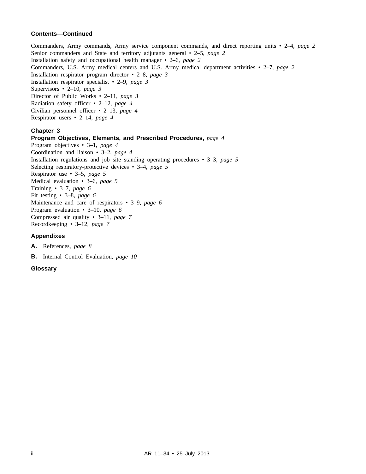#### **Contents—Continued**

Commanders, Army commands, Army service component commands, and direct reporting units • 2–4, *page 2* Senior commanders and State and territory adjutants general • 2–5, *page 2* Installation safety and occupational health manager • 2–6, *page 2* Commanders, U.S. Army medical centers and U.S. Army medical department activities • 2–7, *page 2* Installation respirator program director • 2–8, *page 3* Installation respirator specialist • 2–9, *page 3* Supervisors • 2–10, *page 3* Director of Public Works • 2–11, *page 3* Radiation safety officer • 2–12, *page 4* Civilian personnel officer • 2–13, *page 4* Respirator users • 2–14, *page 4*

#### **Chapter 3**

#### **Program Objectives, Elements, and Prescribed Procedures,** *page 4*

Program objectives • 3–1, *page 4* Coordination and liaison • 3–2, *page 4* Installation regulations and job site standing operating procedures • 3–3, *page 5* Selecting respiratory-protective devices • 3–4, *page 5* Respirator use • 3–5, *page 5* Medical evaluation • 3–6, *page 5* Training • 3–7, *page 6* Fit testing • 3–8, *page 6* Maintenance and care of respirators • 3–9, *page 6* Program evaluation • 3–10, *page 6* Compressed air quality • 3–11, *page 7* Recordkeeping • 3–12, *page 7*

#### **Appendixes**

**A.** References, *page 8*

**B.** Internal Control Evaluation, *page 10*

#### **Glossary**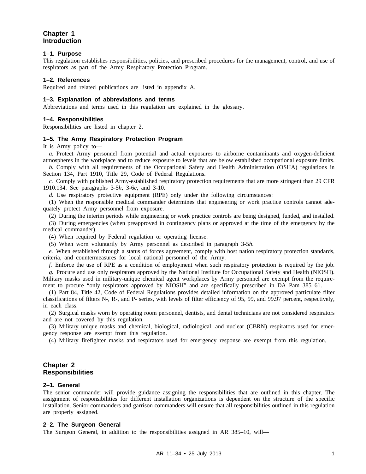#### **Chapter 1 Introduction**

#### **1–1. Purpose**

This regulation establishes responsibilities, policies, and prescribed procedures for the management, control, and use of respirators as part of the Army Respiratory Protection Program.

#### **1–2. References**

Required and related publications are listed in appendix A.

#### **1–3. Explanation of abbreviations and terms**

Abbreviations and terms used in this regulation are explained in the glossary.

#### **1–4. Responsibilities**

Responsibilities are listed in chapter 2.

#### **1–5. The Army Respiratory Protection Program**

It is Army policy to—

*a.* Protect Army personnel from potential and actual exposures to airborne contaminants and oxygen-deficient atmospheres in the workplace and to reduce exposure to levels that are below established occupational exposure limits.

*b.* Comply with all requirements of the Occupational Safety and Health Administration (OSHA) regulations in Section 134, Part 1910, Title 29, Code of Federal Regulations.

*c.* Comply with published Army-established respiratory protection requirements that are more stringent than 29 CFR 1910.134. See paragraphs 3-5*h*, 3-6*c*, and 3-10.

*d.* Use respiratory protective equipment (RPE) only under the following circumstances:

(1) When the responsible medical commander determines that engineering or work practice controls cannot adequately protect Army personnel from exposure.

(2) During the interim periods while engineering or work practice controls are being designed, funded, and installed.

(3) During emergencies (when preapproved in contingency plans or approved at the time of the emergency by the medical commander).

(4) When required by Federal regulation or operating license.

(5) When worn voluntarily by Army personnel as described in paragraph 3-5*h*.

*e.* When established through a status of forces agreement, comply with host nation respiratory protection standards, criteria, and countermeasures for local national personnel of the Army.

*f.* Enforce the use of RPE as a condition of employment when such respiratory protection is required by the job.

*g.* Procure and use only respirators approved by the National Institute for Occupational Safety and Health (NIOSH). Military masks used in military-unique chemical agent workplaces by Army personnel are exempt from the requirement to procure "only respirators approved by NIOSH" and are specifically prescribed in DA Pam 385–61.

(1) Part 84, Title 42, Code of Federal Regulations provides detailed information on the approved particulate filter classifications of filters N-, R-, and P- series, with levels of filter efficiency of 95, 99, and 99.97 percent, respectively, in each class.

(2) Surgical masks worn by operating room personnel, dentists, and dental technicians are not considered respirators and are not covered by this regulation.

(3) Military unique masks and chemical, biological, radiological, and nuclear (CBRN) respirators used for emergency response are exempt from this regulation.

(4) Military firefighter masks and respirators used for emergency response are exempt from this regulation.

#### **Chapter 2 Responsibilities**

#### **2–1. General**

The senior commander will provide guidance assigning the responsibilities that are outlined in this chapter. The assignment of responsibilities for different installation organizations is dependent on the structure of the specific installation. Senior commanders and garrison commanders will ensure that all responsibilities outlined in this regulation are properly assigned.

#### **2–2. The Surgeon General**

The Surgeon General, in addition to the responsibilities assigned in AR 385–10, will—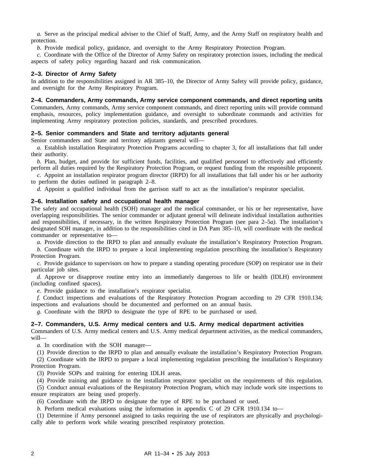*a.* Serve as the principal medical adviser to the Chief of Staff, Army, and the Army Staff on respiratory health and protection.

*b.* Provide medical policy, guidance, and oversight to the Army Respiratory Protection Program.

*c.* Coordinate with the Office of the Director of Army Safety on respiratory protection issues, including the medical aspects of safety policy regarding hazard and risk communication.

#### **2–3. Director of Army Safety**

In addition to the responsibilities assigned in AR 385–10, the Director of Army Safety will provide policy, guidance, and oversight for the Army Respiratory Program.

#### **2–4. Commanders, Army commands, Army service component commands, and direct reporting units**

Commanders, Army commands, Army service component commands, and direct reporting units will provide command emphasis, resources, policy implementation guidance, and oversight to subordinate commands and activities for implementing Army respiratory protection policies, standards, and prescribed procedures.

#### **2–5. Senior commanders and State and territory adjutants general**

Senior commanders and State and territory adjutants general will—

*a.* Establish installation Respiratory Protection Programs according to chapter 3, for all installations that fall under their authority.

*b.* Plan, budget, and provide for sufficient funds, facilities, and qualified personnel to effectively and efficiently perform all duties required by the Respiratory Protection Program, or request funding from the responsible proponent.

*c.* Appoint an installation respirator program director (IRPD) for all installations that fall under his or her authority to perform the duties outlined in paragraph 2–8.

*d.* Appoint a qualified individual from the garrison staff to act as the installation's respirator specialist.

#### **2–6. Installation safety and occupational health manager**

The safety and occupational health (SOH) manager and the medical commander, or his or her representative, have overlapping responsibilities. The senior commander or adjutant general will delineate individual installation authorities and responsibilities, if necessary, in the written Respiratory Protection Program (see para 2–5*a)*. The installation's designated SOH manager, in addition to the responsibilities cited in DA Pam 385–10, will coordinate with the medical commander or representative to—

*a.* Provide direction to the IRPD to plan and annually evaluate the installation's Respiratory Protection Program.

*b.* Coordinate with the IRPD to prepare a local implementing regulation prescribing the installation's Respiratory Protection Program.

*c.* Provide guidance to supervisors on how to prepare a standing operating procedure (SOP) on respirator use in their particular job sites.

*d.* Approve or disapprove routine entry into an immediately dangerous to life or health (IDLH) environment (including confined spaces).

*e.* Provide guidance to the installation's respirator specialist.

*f.* Conduct inspections and evaluations of the Respiratory Protection Program according to 29 CFR 1910.134; inspections and evaluations should be documented and performed on an annual basis.

*g.* Coordinate with the IRPD to designate the type of RPE to be purchased or used.

#### **2–7. Commanders, U.S. Army medical centers and U.S. Army medical department activities**

Commanders of U.S. Army medical centers and U.S. Army medical department activities, as the medical commanders, will—

*a.* In coordination with the SOH manager—

(1) Provide direction to the IRPD to plan and annually evaluate the installation's Respiratory Protection Program.

(2) Coordinate with the IRPD to prepare a local implementing regulation prescribing the installation's Respiratory Protection Program.

(3) Provide SOPs and training for entering IDLH areas.

(4) Provide training and guidance to the installation respirator specialist on the requirements of this regulation.

(5) Conduct annual evaluations of the Respiratory Protection Program, which may include work site inspections to ensure respirators are being used properly.

(6) Coordinate with the IRPD to designate the type of RPE to be purchased or used.

*b.* Perform medical evaluations using the information in appendix C of 29 CFR 1910.134 to—

(1) Determine if Army personnel assigned to tasks requiring the use of respirators are physically and psychologically able to perform work while wearing prescribed respiratory protection.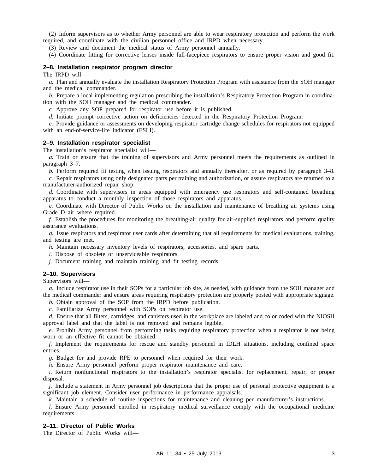(2) Inform supervisors as to whether Army personnel are able to wear respiratory protection and perform the work required, and coordinate with the civilian personnel office and IRPD when necessary.

(3) Review and document the medical status of Army personnel annually.

(4) Coordinate fitting for corrective lenses inside full-facepiece respirators to ensure proper vision and good fit.

#### **2–8. Installation respirator program director**

The IRPD will—

*a.* Plan and annually evaluate the installation Respiratory Protection Program with assistance from the SOH manager and the medical commander.

*b.* Prepare a local implementing regulation prescribing the installation's Respiratory Protection Program in coordination with the SOH manager and the medical commander.

*c.* Approve any SOP prepared for respirator use before it is published.

*d.* Initiate prompt corrective action on deficiencies detected in the Respiratory Protection Program.

*e.* Provide guidance or assessments on developing respirator cartridge change schedules for respirators not equipped with an end-of-service-life indicator (ESLI).

#### **2–9. Installation respirator specialist**

The installation's respirator specialist will—

*a.* Train or ensure that the training of supervisors and Army personnel meets the requirements as outlined in paragraph 3–7.

*b.* Perform required fit testing when issuing respirators and annually thereafter, or as required by paragraph 3–8.

*c.* Repair respirators using only designated parts per training and authorization, or assure respirators are returned to a manufacturer-authorized repair shop.

*d.* Coordinate with supervisors in areas equipped with emergency use respirators and self-contained breathing apparatus to conduct a monthly inspection of those respirators and apparatus.

*e.* Coordinate with Director of Public Works on the installation and maintenance of breathing air systems using Grade D air where required.

*f.* Establish the procedures for monitoring the breathing-air quality for air-supplied respirators and perform quality assurance evaluations.

*g.* Issue respirators and respirator user cards after determining that all requirements for medical evaluations, training, and testing are met.

*h.* Maintain necessary inventory levels of respirators, accessories, and spare parts.

*i.* Dispose of obsolete or unserviceable respirators.

*j.* Document training and maintain training and fit testing records.

#### **2–10. Supervisors**

Supervisors will—

*a.* Include respirator use in their SOPs for a particular job site, as needed, with guidance from the SOH manager and the medical commander and ensure areas requiring respiratory protection are properly posted with appropriate signage.

*b.* Obtain approval of the SOP from the IRPD before publication.

*c.* Familiarize Army personnel with SOPs on respirator use.

*d.* Ensure that all filters, cartridges, and canisters used in the workplace are labeled and color coded with the NIOSH approval label and that the label is not removed and remains legible.

*e.* Prohibit Army personnel from performing tasks requiring respiratory protection when a respirator is not being worn or an effective fit cannot be obtained.

*f.* Implement the requirements for rescue and standby personnel in IDLH situations, including confined space entries.

*g.* Budget for and provide RPE to personnel when required for their work.

*h.* Ensure Army personnel perform proper respirator maintenance and care.

*i.* Return nonfunctional respirators to the installation's respirator specialist for replacement, repair, or proper disposal.

*j.* Include a statement in Army personnel job descriptions that the proper use of personal protective equipment is a significant job element. Consider user performance in performance appraisals.

*k.* Maintain a schedule of routine inspections for maintenance and cleaning per manufacturer's instructions.

*l.* Ensure Army personnel enrolled in respiratory medical surveillance comply with the occupational medicine requirements.

#### **2–11. Director of Public Works**

The Director of Public Works will—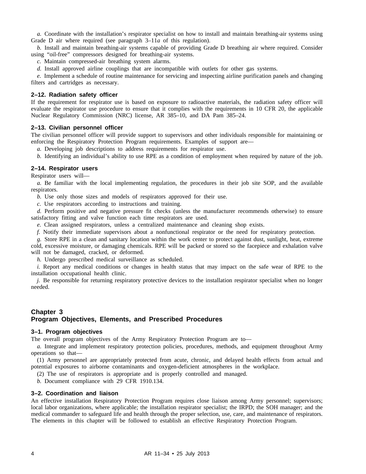*a.* Coordinate with the installation's respirator specialist on how to install and maintain breathing-air systems using Grade D air where required (see paragraph 3–11*a* of this regulation).

*b.* Install and maintain breathing-air systems capable of providing Grade D breathing air where required. Consider using "oil-free" compressors designed for breathing-air systems.

*c.* Maintain compressed-air breathing system alarms.

*d.* Install approved airline couplings that are incompatible with outlets for other gas systems.

*e.* Implement a schedule of routine maintenance for servicing and inspecting airline purification panels and changing filters and cartridges as necessary.

#### **2–12. Radiation safety officer**

If the requirement for respirator use is based on exposure to radioactive materials, the radiation safety officer will evaluate the respirator use procedure to ensure that it complies with the requirements in 10 CFR 20, the applicable Nuclear Regulatory Commission (NRC) license, AR 385–10, and DA Pam 385–24.

#### **2–13. Civilian personnel officer**

The civilian personnel officer will provide support to supervisors and other individuals responsible for maintaining or enforcing the Respiratory Protection Program requirements. Examples of support are—

*a.* Developing job descriptions to address requirements for respirator use.

*b.* Identifying an individual's ability to use RPE as a condition of employment when required by nature of the job.

#### **2–14. Respirator users**

Respirator users will—

*a.* Be familiar with the local implementing regulation, the procedures in their job site SOP, and the available respirators.

*b.* Use only those sizes and models of respirators approved for their use.

*c.* Use respirators according to instructions and training.

*d.* Perform positive and negative pressure fit checks (unless the manufacturer recommends otherwise) to ensure satisfactory fitting and valve function each time respirators are used.

*e.* Clean assigned respirators, unless a centralized maintenance and cleaning shop exists.

*f.* Notify their immediate supervisors about a nonfunctional respirator or the need for respiratory protection.

*g.* Store RPE in a clean and sanitary location within the work center to protect against dust, sunlight, heat, extreme cold, excessive moisture, or damaging chemicals. RPE will be packed or stored so the facepiece and exhalation valve will not be damaged, cracked, or deformed.

*h.* Undergo prescribed medical surveillance as scheduled.

*i.* Report any medical conditions or changes in health status that may impact on the safe wear of RPE to the installation occupational health clinic.

*j.* Be responsible for returning respiratory protective devices to the installation respirator specialist when no longer needed.

#### **Chapter 3 Program Objectives, Elements, and Prescribed Procedures**

#### **3–1. Program objectives**

The overall program objectives of the Army Respiratory Protection Program are to—

*a.* Integrate and implement respiratory protection policies, procedures, methods, and equipment throughout Army operations so that—

(1) Army personnel are appropriately protected from acute, chronic, and delayed health effects from actual and potential exposures to airborne contaminants and oxygen-deficient atmospheres in the workplace.

(2) The use of respirators is appropriate and is properly controlled and managed.

*b.* Document compliance with 29 CFR 1910.134.

#### **3–2. Coordination and liaison**

An effective installation Respiratory Protection Program requires close liaison among Army personnel; supervisors; local labor organizations, where applicable; the installation respirator specialist; the IRPD; the SOH manager; and the medical commander to safeguard life and health through the proper selection, use, care, and maintenance of respirators. The elements in this chapter will be followed to establish an effective Respiratory Protection Program.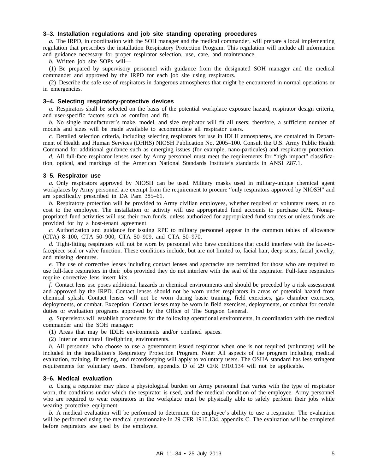#### **3–3. Installation regulations and job site standing operating procedures**

*a.* The IRPD, in coordination with the SOH manager and the medical commander, will prepare a local implementing regulation that prescribes the installation Respiratory Protection Program. This regulation will include all information and guidance necessary for proper respirator selection, use, care, and maintenance.

*b.* Written job site SOPs will—

(1) Be prepared by supervisory personnel with guidance from the designated SOH manager and the medical commander and approved by the IRPD for each job site using respirators.

(2) Describe the safe use of respirators in dangerous atmospheres that might be encountered in normal operations or in emergencies.

#### **3–4. Selecting respiratory-protective devices**

*a.* Respirators shall be selected on the basis of the potential workplace exposure hazard, respirator design criteria, and user-specific factors such as comfort and fit.

*b.* No single manufacturer's make, model, and size respirator will fit all users; therefore, a sufficient number of models and sizes will be made available to accommodate all respirator users.

*c.* Detailed selection criteria, including selecting respirators for use in IDLH atmospheres, are contained in Department of Health and Human Services (DHHS) NIOSH Publication No. 2005–100. Consult the U.S. Army Public Health Command for additional guidance such as emerging issues (for example, nano-particules) and respiratory protection.

*d.* All full-face respirator lenses used by Army personnel must meet the requirements for "high impact" classification, optical, and markings of the American National Standards Institute's standards in ANSI Z87.1.

#### **3–5. Respirator use**

*a.* Only respirators approved by NIOSH can be used. Military masks used in military-unique chemical agent workplaces by Army personnel are exempt from the requirement to procure "only respirators approved by NIOSH" and are specifically prescribed in DA Pam 385–61.

*b.* Respiratory protection will be provided to Army civilian employees, whether required or voluntary users, at no cost to the employee. The installation or activity will use appropriated fund accounts to purchase RPE. Nonappropriated fund activities will use their own funds, unless authorized for appropriated fund sources or unless funds are provided for by a host-tenant agreement.

*c.* Authorization and guidance for issuing RPE to military personnel appear in the common tables of allowance (CTA) 8–100, CTA 50–900, CTA 50–909, and CTA 50–970.

*d.* Tight-fitting respirators will not be worn by personnel who have conditions that could interfere with the face-tofacepiece seal or valve function. These conditions include, but are not limited to, facial hair, deep scars, facial jewelry, and missing dentures.

*e.* The use of corrective lenses including contact lenses and spectacles are permitted for those who are required to use full-face respirators in their jobs provided they do not interfere with the seal of the respirator. Full-face respirators require corrective lens insert kits.

*f.* Contact lens use poses additional hazards in chemical environments and should be preceded by a risk assessment and approved by the IRPD. Contact lenses should not be worn under respirators in areas of potential hazard from chemical splash. Contact lenses will not be worn during basic training, field exercises, gas chamber exercises, deployments, or combat. Exception: Contact lenses may be worn in field exercises, deployments, or combat for certain duties or evaluation programs approved by the Office of The Surgeon General.

*g.* Supervisors will establish procedures for the following operational environments, in coordination with the medical commander and the SOH manager:

(1) Areas that may be IDLH environments and/or confined spaces.

(2) Interior structural firefighting environments.

*h.* All personnel who choose to use a government issued respirator when one is not required (voluntary) will be included in the installation's Respiratory Protection Program. Note: All aspects of the program including medical evaluation, training, fit testing, and recordkeeping will apply to voluntary users. The OSHA standard has less stringent requirements for voluntary users. Therefore, appendix D of 29 CFR 1910.134 will not be applicable.

#### **3–6. Medical evaluation**

*a.* Using a respirator may place a physiological burden on Army personnel that varies with the type of respirator worn, the conditions under which the respirator is used, and the medical condition of the employee. Army personnel who are required to wear respirators in the workplace must be physically able to safely perform their jobs while wearing protective equipment.

*b.* A medical evaluation will be performed to determine the employee's ability to use a respirator. The evaluation will be performed using the medical questionnaire in 29 CFR 1910.134, appendix C. The evaluation will be completed before respirators are used by the employee.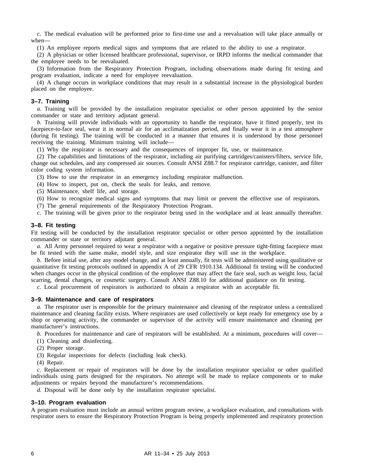*c.* The medical evaluation will be performed prior to first-time use and a reevaluation will take place annually or when—

(1) An employee reports medical signs and symptoms that are related to the ability to use a respirator.

(2) A physician or other licensed healthcare professional, supervisor, or IRPD informs the medical commander that the employee needs to be reevaluated.

(3) Information from the Respiratory Protection Program, including observations made during fit testing and program evaluation, indicate a need for employee reevaluation.

(4) A change occurs in workplace conditions that may result in a substantial increase in the physiological burden placed on the employee.

#### **3–7. Training**

*a.* Training will be provided by the installation respirator specialist or other person appointed by the senior commander or state and territory adjutant general.

*b.* Training will provide individuals with an opportunity to handle the respirator, have it fitted properly, test its facepiece-to-face seal, wear it in normal air for an acclimatization period, and finally wear it in a test atmosphere (during fit testing). The training will be conducted in a manner that ensures it is understood by those personnel receiving the training. Minimum training will include—

(1) Why the respirator is necessary and the consequences of improper fit, use, or maintenance.

(2) The capabilities and limitations of the respirator, including air purifying cartridges/canisters/filters, service life, change out schedules, and any compressed air sources. Consult ANSI Z88.7 for respirator cartridge, canister, and filter color coding system information.

(3) How to use the respirator in an emergency including respirator malfunction.

(4) How to inspect, put on, check the seals for leaks, and remove.

(5) Maintenance, shelf life, and storage.

(6) How to recognize medical signs and symptoms that may limit or prevent the effective use of respirators.

(7) The general requirements of the Respiratory Protection Program.

*c.* The training will be given prior to the respirator being used in the workplace and at least annually thereafter.

#### **3–8. Fit testing**

Fit testing will be conducted by the installation respirator specialist or other person appointed by the installation commander or state or territory adjutant general.

*a.* All Army personnel required to wear a respirator with a negative or positive pressure tight-fitting facepiece must be fit tested with the same make, model style, and size respirator they will use in the workplace.

*b.* Before initial use, after any model change, and at least annually, fit tests will be administered using qualitative or quantitative fit testing protocols outlined in appendix A of 29 CFR 1910.134. Additional fit testing will be conducted when changes occur in the physical condition of the employee that may affect the face seal, such as weight loss, facial scarring, dental changes, or cosmetic surgery. Consult ANSI Z88.10 for additional guidance on fit testing.

*c.* Local procurement of respirators is authorized to obtain a respirator with an acceptable fit.

#### **3–9. Maintenance and care of respirators**

*a.* The respirator user is responsible for the primary maintenance and cleaning of the respirator unless a centralized maintenance and cleaning facility exists. Where respirators are used collectively or kept ready for emergency use by a shop or operating activity, the commander or supervisor of the activity will ensure maintenance and cleaning per manufacturer's instructions.

*b.* Procedures for maintenance and care of respirators will be established. At a minimum, procedures will cover—

(1) Cleaning and disinfecting.

(2) Proper storage.

(3) Regular inspections for defects (including leak check).

(4) Repair.

*c.* Replacement or repair of respirators will be done by the installation respirator specialist or other qualified individuals using parts designed for the respirators. No attempt will be made to replace components or to make adjustments or repairs beyond the manufacturer's recommendations.

*d.* Disposal will be done only by the installation respirator specialist.

#### **3–10. Program evaluation**

A program evaluation must include an annual written program review, a workplace evaluation, and consultations with respirator users to ensure the Respiratory Protection Program is being properly implemented and respiratory protection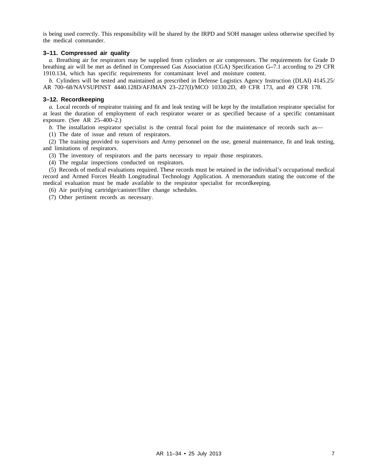is being used correctly. This responsibility will be shared by the IRPD and SOH manager unless otherwise specified by the medical commander.

#### **3–11. Compressed air quality**

*a.* Breathing air for respirators may be supplied from cylinders or air compressors. The requirements for Grade D breathing air will be met as defined in Compressed Gas Association (CGA) Specification G**–**7.1 according to 29 CFR 1910.134, which has specific requirements for contaminant level and moisture content.

*b.* Cylinders will be tested and maintained as prescribed in Defense Logistics Agency Instruction (DLAI) 4145.25/ AR 700–68/NAVSUPINST 4440.128D/AFJMAN 23–227(I)/MCO 10330.2D, 49 CFR 173, and 49 CFR 178.

#### **3–12. Recordkeeping**

*a.* Local records of respirator training and fit and leak testing will be kept by the installation respirator specialist for at least the duration of employment of each respirator wearer or as specified because of a specific contaminant exposure. (See AR 25–400–2.)

*b.* The installation respirator specialist is the central focal point for the maintenance of records such as—

(1) The date of issue and return of respirators.

(2) The training provided to supervisors and Army personnel on the use, general maintenance, fit and leak testing, and limitations of respirators.

(3) The inventory of respirators and the parts necessary to repair those respirators.

(4) The regular inspections conducted on respirators.

(5) Records of medical evaluations required. These records must be retained in the individual's occupational medical record and Armed Forces Health Longitudinal Technology Application. A memorandum stating the outcome of the medical evaluation must be made available to the respirator specialist for recordkeeping.

(6) Air purifying cartridge/canister/filter change schedules.

(7) Other pertinent records as necessary.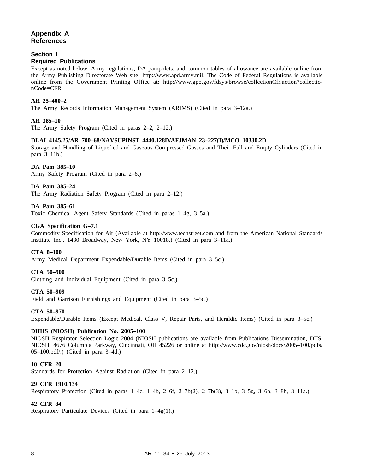#### **Appendix A References**

#### **Section I**

#### **Required Publications**

Except as noted below, Army regulations, DA pamphlets, and common tables of allowance are available online from the Army Publishing Directorate Web site: http://www.apd.army.mil. The Code of Federal Regulations is available online from the Government Printing Office at: http://www.gpo.gov/fdsys/browse/collectionCfr.action?collectionCode=CFR.

#### **AR 25–400–2**

The Army Records Information Management System (ARIMS) (Cited in para 3–12a.)

#### **AR 385–10**

The Army Safety Program (Cited in paras 2–2, 2–12.)

#### **DLAI 4145.25/AR 700–68/NAVSUPINST 4440.128D/AFJMAN 23–227(I)/MCO 10330.2D**

Storage and Handling of Liquefied and Gaseous Compressed Gasses and Their Full and Empty Cylinders (Cited in para 3–11b.)

#### **DA Pam 385–10**

Army Safety Program (Cited in para 2–6.)

#### **DA Pam 385–24**

The Army Radiation Safety Program (Cited in para 2–12.)

#### **DA Pam 385–61**

Toxic Chemical Agent Safety Standards (Cited in paras 1–4g, 3–5a.)

#### **CGA Specification G–7.1**

Commodity Specification for Air (Available at http://www.techstreet.com and from the American National Standards Institute Inc., 1430 Broadway, New York, NY 10018.) (Cited in para 3–11a.)

#### **CTA 8–100**

Army Medical Department Expendable/Durable Items (Cited in para 3–5c.)

#### **CTA 50–900**

Clothing and Individual Equipment (Cited in para 3–5c.)

#### **CTA 50–909**

Field and Garrison Furnishings and Equipment (Cited in para 3–5c.)

#### **CTA 50–970**

Expendable/Durable Items (Except Medical, Class V, Repair Parts, and Heraldic Items) (Cited in para 3–5c.)

#### **DHHS (NIOSH) Publication No. 2005–100**

NIOSH Respirator Selection Logic 2004 (NIOSH publications are available from Publications Dissemination, DTS, NIOSH, 4676 Columbia Parkway, Cincinnati, OH 45226 or online at http://www.cdc.gov/niosh/docs/2005–100/pdfs/ 05–100.pdf/.) (Cited in para 3–4d.)

#### **10 CFR 20**

Standards for Protection Against Radiation (Cited in para 2–12.)

#### **29 CFR 1910.134**

Respiratory Protection (Cited in paras 1–4c, 1–4b, 2–6f, 2–7b(2), 2–7b(3), 3–1b, 3–5g, 3–6b, 3–8b, 3–11a.)

#### **42 CFR 84**

Respiratory Particulate Devices (Cited in para 1–4g(1).)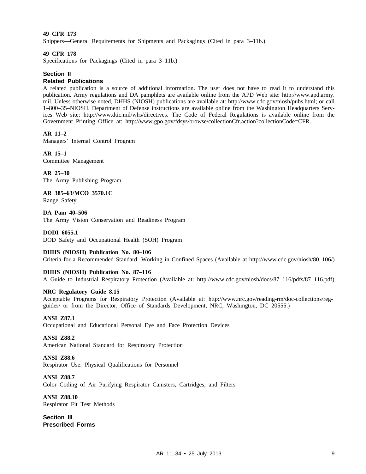#### **49 CFR 173**

Shippers—General Requirements for Shipments and Packagings (Cited in para 3–11b.)

#### **49 CFR 178**

Specifications for Packagings (Cited in para 3–11b.)

#### **Section II**

#### **Related Publications**

A related publication is a source of additional information. The user does not have to read it to understand this publication. Army regulations and DA pamphlets are available online from the APD Web site: http://www.apd.army. mil. Unless otherwise noted, DHHS (NIOSH) publications are available at: http://www.cdc.gov/niosh/pubs.html; or call 1–800–35–NIOSH. Department of Defense instructions are available online from the Washington Headquarters Services Web site: http://www.dtic.mil/whs/directives. The Code of Federal Regulations is available online from the Government Printing Office at: http://www.gpo.gov/fdsys/browse/collectionCfr.action?collectionCode=CFR.

#### **AR 11–2**

Managers' Internal Control Program

#### **AR 15–1**

Committee Management

**AR 25–30** The Army Publishing Program

**AR 385–63/MCO 3570.1C** Range Safety

**DA Pam 40–506** The Army Vision Conservation and Readiness Program

#### **DODI 6055.1**

DOD Safety and Occupational Health (SOH) Program

#### **DHHS (NIOSH) Publication No. 80–106**

Criteria for a Recommended Standard: Working in Confined Spaces (Available at http://www.cdc.gov/niosh/80–106/)

#### **DHHS (NIOSH) Publication No. 87–116**

A Guide to Industrial Respiratory Protection (Available at: http://www.cdc.gov/niosh/docs/87–116/pdfs/87–116.pdf)

#### **NRC Regulatory Guide 8.15**

Acceptable Programs for Respiratory Protection (Available at: http://www.nrc.gov/reading-rm/doc-collections/regguides/ or from the Director, Office of Standards Development, NRC, Washington, DC 20555.)

#### **ANSI Z87.1**

Occupational and Educational Personal Eye and Face Protection Devices

#### **ANSI Z88.2**

American National Standard for Respiratory Protection

#### **ANSI Z88.6**

Respirator Use: Physical Qualifications for Personnel

#### **ANSI Z88.7**

Color Coding of Air Purifying Respirator Canisters, Cartridges, and Filters

**ANSI Z88.10** Respirator Fit Test Methods

**Section III Prescribed Forms**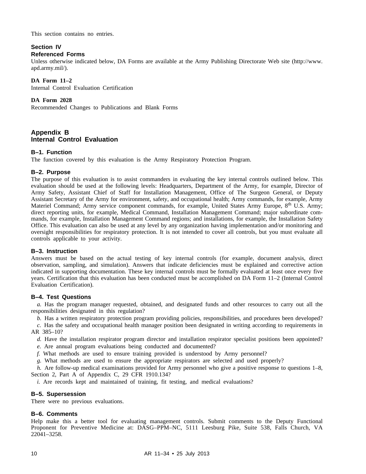This section contains no entries.

#### **Section IV Referenced Forms**

Unless otherwise indicated below, DA Forms are available at the Army Publishing Directorate Web site (http://www. apd.army.mil/).

#### **DA Form 11–2**

Internal Control Evaluation Certification

#### **DA Form 2028**

Recommended Changes to Publications and Blank Forms

#### **Appendix B Internal Control Evaluation**

#### **B–1. Function**

The function covered by this evaluation is the Army Respiratory Protection Program.

#### **B–2. Purpose**

The purpose of this evaluation is to assist commanders in evaluating the key internal controls outlined below. This evaluation should be used at the following levels: Headquarters, Department of the Army, for example, Director of Army Safety, Assistant Chief of Staff for Installation Management, Office of The Surgeon General, or Deputy Assistant Secretary of the Army for environment, safety, and occupational health; Army commands, for example, Army Materiel Command; Army service component commands, for example, United States Army Europe, 8<sup>th</sup> U.S. Army; direct reporting units, for example, Medical Command, Installation Management Command; major subordinate commands, for example, Installation Management Command regions; and installations, for example, the Installation Safety Office. This evaluation can also be used at any level by any organization having implementation and/or monitoring and oversight responsibilities for respiratory protection. It is not intended to cover all controls, but you must evaluate all controls applicable to your activity.

#### **B–3. Instruction**

Answers must be based on the actual testing of key internal controls (for example, document analysis, direct observation, sampling, and simulation). Answers that indicate deficiencies must be explained and corrective action indicated in supporting documentation. These key internal controls must be formally evaluated at least once every five years. Certification that this evaluation has been conducted must be accomplished on DA Form 11–2 (Internal Control Evaluation Certification).

#### **B–4. Test Questions**

*a.* Has the program manager requested, obtained, and designated funds and other resources to carry out all the responsibilities designated in this regulation?

*b.* Has a written respiratory protection program providing policies, responsibilities, and procedures been developed?

*c.* Has the safety and occupational health manager position been designated in writing according to requirements in AR 385–10?

*d.* Have the installation respirator program director and installation respirator specialist positions been appointed?

*e.* Are annual program evaluations being conducted and documented?

*f.* What methods are used to ensure training provided is understood by Army personnel?

*g.* What methods are used to ensure the appropriate respirators are selected and used properly?

*h.* Are follow-up medical examinations provided for Army personnel who give a positive response to questions 1–8, Section 2, Part A of Appendix C, 29 CFR 1910.134?

*i*. Are records kept and maintained of training, fit testing, and medical evaluations?

#### **B–5. Supersession**

There were no previous evaluations.

#### **B–6. Comments**

Help make this a better tool for evaluating management controls. Submit comments to the Deputy Functional Proponent for Preventive Medicine at: DASG-PPM-NC, 5111 Leesburg Pike, Suite 538, Falls Church, VA 22041–3258.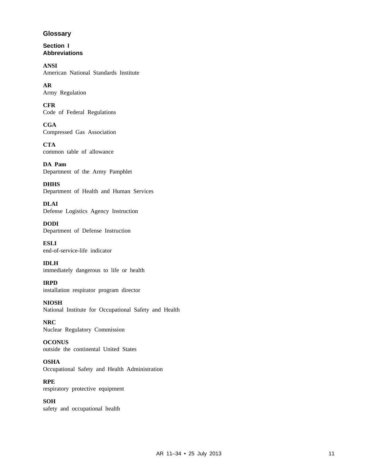#### **Glossary**

**Section I Abbreviations**

**ANSI** American National Standards Institute

**AR** Army Regulation

**CFR** Code of Federal Regulations

**CGA** Compressed Gas Association

**CTA** common table of allowance

**DA Pam** Department of the Army Pamphlet

**DHHS** Department of Health and Human Services

**DLAI** Defense Logistics Agency Instruction

**DODI** Department of Defense Instruction

**ESLI** end-of-service-life indicator

**IDLH** immediately dangerous to life or health

**IRPD** installation respirator program director

**NIOSH** National Institute for Occupational Safety and Health

**NRC** Nuclear Regulatory Commission

**OCONUS** outside the continental United States

**OSHA** Occupational Safety and Health Administration

**RPE** respiratory protective equipment

**SOH** safety and occupational health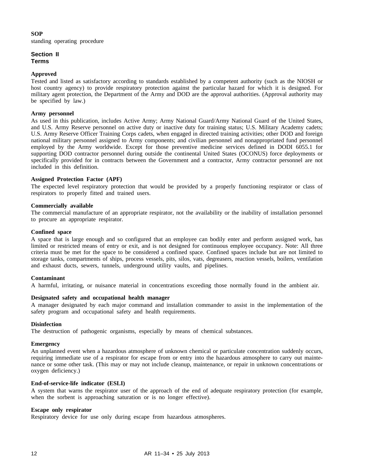#### **SOP**

standing operating procedure

#### **Section II Terms**

#### **Approved**

Tested and listed as satisfactory according to standards established by a competent authority (such as the NIOSH or host country agency) to provide respiratory protection against the particular hazard for which it is designed. For military agent protection, the Department of the Army and DOD are the approval authorities. (Approval authority may be specified by law.)

#### **Army personnel**

As used in this publication, includes Active Army; Army National Guard/Army National Guard of the United States, and U.S. Army Reserve personnel on active duty or inactive duty for training status; U.S. Military Academy cadets; U.S. Army Reserve Officer Training Corps cadets, when engaged in directed training activities; other DOD and foreign national military personnel assigned to Army components; and civilian personnel and nonappropriated fund personnel employed by the Army worldwide. Except for those preventive medicine services defined in DODI 6055.1 for supporting DOD contractor personnel during outside the continental United States (OCONUS) force deployments or specifically provided for in contracts between the Government and a contractor, Army contractor personnel are not included in this definition.

#### **Assigned Protection Factor (APF)**

The expected level respiratory protection that would be provided by a properly functioning respirator or class of respirators to properly fitted and trained users.

#### **Commercially available**

The commercial manufacture of an appropriate respirator, not the availability or the inability of installation personnel to procure an appropriate respirator.

#### **Confined space**

A space that is large enough and so configured that an employee can bodily enter and perform assigned work, has limited or restricted means of entry or exit, and is not designed for continuous employee occupancy. Note: All three criteria must be met for the space to be considered a confined space. Confined spaces include but are not limited to storage tanks, compartments of ships, process vessels, pits, silos, vats, degreasers, reaction vessels, boilers, ventilation and exhaust ducts, sewers, tunnels, underground utility vaults, and pipelines.

#### **Contaminant**

A harmful, irritating, or nuisance material in concentrations exceeding those normally found in the ambient air.

#### **Designated safety and occupational health manager**

A manager designated by each major command and installation commander to assist in the implementation of the safety program and occupational safety and health requirements.

#### **Disinfection**

The destruction of pathogenic organisms, especially by means of chemical substances.

#### **Emergency**

An unplanned event when a hazardous atmosphere of unknown chemical or particulate concentration suddenly occurs, requiring immediate use of a respirator for escape from or entry into the hazardous atmosphere to carry out maintenance or some other task. (This may or may not include cleanup, maintenance, or repair in unknown concentrations or oxygen deficiency.)

#### **End-of-service-life indicator (ESLI)**

A system that warns the respirator user of the approach of the end of adequate respiratory protection (for example, when the sorbent is approaching saturation or is no longer effective).

#### **Escape only respirator**

Respiratory device for use only during escape from hazardous atmospheres.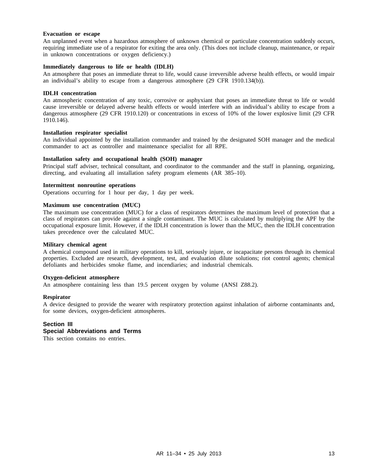#### **Evacuation or escape**

An unplanned event when a hazardous atmosphere of unknown chemical or particulate concentration suddenly occurs, requiring immediate use of a respirator for exiting the area only. (This does not include cleanup, maintenance, or repair in unknown concentrations or oxygen deficiency.)

#### **Immediately dangerous to life or health (IDLH)**

An atmosphere that poses an immediate threat to life, would cause irreversible adverse health effects, or would impair an individual's ability to escape from a dangerous atmosphere (29 CFR 1910.134(b)).

#### **IDLH concentration**

An atmospheric concentration of any toxic, corrosive or asphyxiant that poses an immediate threat to life or would cause irreversible or delayed adverse health effects or would interfere with an individual's ability to escape from a dangerous atmosphere (29 CFR 1910.120) or concentrations in excess of 10% of the lower explosive limit (29 CFR 1910.146).

#### **Installation respirator specialist**

An individual appointed by the installation commander and trained by the designated SOH manager and the medical commander to act as controller and maintenance specialist for all RPE.

#### **Installation safety and occupational health (SOH) manager**

Principal staff adviser, technical consultant, and coordinator to the commander and the staff in planning, organizing, directing, and evaluating all installation safety program elements (AR 385–10).

#### **Intermittent nonroutine operations**

Operations occurring for 1 hour per day, 1 day per week.

#### **Maximum use concentration (MUC)**

The maximum use concentration (MUC) for a class of respirators determines the maximum level of protection that a class of respirators can provide against a single contaminant. The MUC is calculated by multiplying the APF by the occupational exposure limit. However, if the IDLH concentration is lower than the MUC, then the IDLH concentration takes precedence over the calculated MUC.

#### **Military chemical agent**

A chemical compound used in military operations to kill, seriously injure, or incapacitate persons through its chemical properties. Excluded are research, development, test, and evaluation dilute solutions; riot control agents; chemical defoliants and herbicides smoke flame, and incendiaries; and industrial chemicals.

#### **Oxygen-deficient atmosphere**

An atmosphere containing less than 19.5 percent oxygen by volume (ANSI Z88.2).

#### **Respirator**

A device designed to provide the wearer with respiratory protection against inhalation of airborne contaminants and, for some devices, oxygen-deficient atmospheres.

#### **Section III Special Abbreviations and Terms**

This section contains no entries.